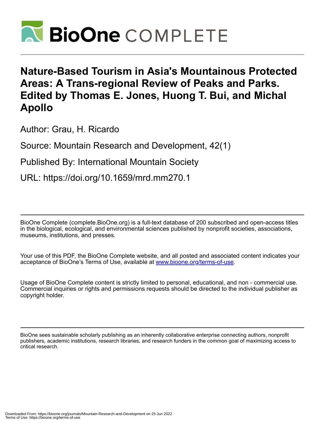

## **Nature-Based Tourism in Asia's Mountainous Protected Areas: A Trans-regional Review of Peaks and Parks. Edited by Thomas E. Jones, Huong T. Bui, and Michal Apollo**

Author: Grau, H. Ricardo

Source: Mountain Research and Development, 42(1)

Published By: International Mountain Society

URL: https://doi.org/10.1659/mrd.mm270.1

BioOne Complete (complete.BioOne.org) is a full-text database of 200 subscribed and open-access titles in the biological, ecological, and environmental sciences published by nonprofit societies, associations, museums, institutions, and presses.

Your use of this PDF, the BioOne Complete website, and all posted and associated content indicates your acceptance of BioOne's Terms of Use, available at www.bioone.org/terms-of-use.

Usage of BioOne Complete content is strictly limited to personal, educational, and non - commercial use. Commercial inquiries or rights and permissions requests should be directed to the individual publisher as copyright holder.

BioOne sees sustainable scholarly publishing as an inherently collaborative enterprise connecting authors, nonprofit publishers, academic institutions, research libraries, and research funders in the common goal of maximizing access to critical research.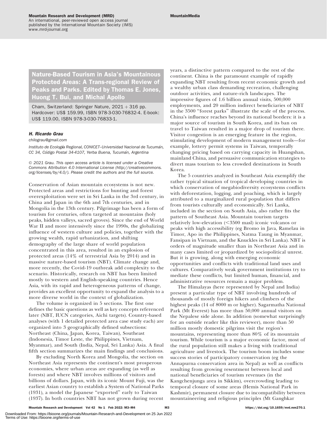An international, peer-reviewed open access journal published by the International Mountain Society (IMS) www.mrd-journal.org

Nature-Based Tourism in Asia's Mountainous Protected Areas: A Trans-regional Review of Peaks and Parks. Edited by Thomas E. Jones, Huong T. Bui, and Michal Apollo

Cham, Switzerland: Springer Nature,  $2021 + 316$  pp. Hardcover: US\$ 159.99, ISBN 978-3-030-76832-4. E-book: US\$ 119.00, ISBN 978-3-030-76833-1.

## H. Ricardo Grau

[chilograu@gmail.com](mailto:chilograu@gmail.com)

Instituto de Ecología Regional, CONICET-Universidad Nacional de Tucumán, CC 34, Código Postal 34-4107, Yerba Buena, Tucumán, Argentina

© 2021 Grau. This open access article is licensed under a Creative Commons Attribution 4.0 International License [\(http://creativecommons.](http://creativecommons.org/licenses/by/4.0/) [org/licenses/by/4.0/\)](http://creativecommons.org/licenses/by/4.0/). Please credit the authors and the full source.

Conservation of Asian mountain ecosystems is not new. Protected areas and restrictions for hunting and forest overexploitation were set in Sri Lanka in the 3rd century, in China and Japan in the 6th and 7th centuries, and in Mongolia in the 13th century. Pilgrimage has been a form of tourism for centuries, often targeted at mountains (holy peaks, hidden valleys, sacred groves). Since the end of World War II and more intensively since the 1990s, the globalizing influence of western culture and policies, together with the growing wealth, rapid urbanization, and shifting demography of the large share of world population concentrated in this area, resulted in an explosion of protected areas (14% of terrestrial Asia by 2014) and in massive nature-based tourism (NBT). Climate change and, more recently, the Covid-19 outbreak add complexity to the scenario. Historically, research on NBT has been limited mostly to western and English-speaking countries. Hence Asia, with its rapid and heterogeneous patterns of change, provides an excellent opportunity to expand the analysis to a more diverse world in the context of globalization.

The volume is organized in 5 sections. The first one defines the basic questions as well as key concepts referenced later (NBT, IUCN categories, Aichi targets). Country-based analyses (with 1 detailed protected area case study each) are organized into 3 geographically defined subsections: Northeast (China, Japan, Korea, Taiwan), Southeast (Indonesia, Timor Leste, the Philippines, Vietnam, Myanmar), and South (India, Nepal, Sri Lanka) Asia. A final fifth section summarizes the main findings and conclusions.

By excluding North Korea and Mongolia, the section on Northeast Asia represents the continent's most prosperous economies, where urban areas are expanding (as well as forests) and where NBT involves millions of visitors and billions of dollars. Japan, with its iconic Mount Fuji, was the earliest Asian country to establish a System of National Parks (1931), a model the Japanese ''exported'' early to Taiwan (1937). In both countries NBT has not grown during recent

years, a distinctive pattern compared to the rest of the continent. China is the paramount example of rapidly expanding NBT resulting from recent economic growth and a wealthy urban class demanding recreation, challenging outdoor activities, and nature-rich landscapes. The impressive figures of 1.6 billion annual visits, 500,000 employments, and 20 million indirect beneficiaries of NBT in the 3500 ''forest parks'' illustrate the scale of the process. China's influence reaches beyond its national borders: it is a major source of tourism in South Korea, and its ban on travel to Taiwan resulted in a major drop of tourism there. Visitor congestion is an emerging feature in the region, stimulating development of modern management tools—for example, lottery permit systems in Taiwan, temporally changing pricing based on carrying capacity in Huangshan, mainland China, and persuasive communication strategies to divert mass tourism to less crowded destinations in South Korea.

The 5 countries analyzed in Southeast Asia exemplify the rather typical situation of tropical developing countries in which conservation of megabiodiversity ecosystems conflicts with deforestation, logging, and poaching, which is largely attributed to a marginalized rural population that differs from tourists culturally and economically. Sri Lanka, included in the section on South Asia, also rather fits the pattern of Southeast Asia. Mountain tourism targets relatively low-elevation  $(< 3500$  masl) iconic volcanos or peaks with high accessibility (eg Bromo in Java, Ramelau in Timor, Apo in the Philippines, Natma Taung in Myanmar, Fansipan in Vietnam, and the Knuckles in Sri Lanka). NBT is orders of magnitude smaller than in Northeast Asia and in many cases limited or jeopardized by sociopolitical unrest. But it is growing, along with emerging economic opportunities and conflicts with traditional land uses and cultures. Comparatively weak government institutions try to mediate these conflicts, but limited human, financial, and administrative resources remain a major problem.

The Himalayas (here represented by Nepal and India) present a particular type of NBT involving hundreds of thousands of mostly foreign hikers and climbers of the highest peaks (14 of 8000 m or higher). Sagarmatha National Park (Mt Everest) has more than 50,000 annual visitors on the Nepalese side alone. In addition (somewhat surprisingly for an outside reader like this reviewer), more than 50 million mostly domestic pilgrims visit the region's mountains, representing more than 80% of its mountain tourism. While tourism is a major economic factor, most of the rural population still makes a living with traditional agriculture and livestock. The tourism boom includes some success stories of participatory conservation (eg the Annapurna conservation area in Nepal) as well as conflicts resulting from growing resentment between local and national beneficiaries of tourism revenues (in the Kangchenjunga area in Sikkim), overcrowding leading to temporal closure of some areas (Hemis National Park in Kashmir), permanent closure due to incompatibility between mountaineering and religious principles (Mt Ganghkar

Mountain Research and Development Vol 42 No 1 Feb 2022: M3–M4 M3 https://doi.org/10.1659/mrd.mm270.1